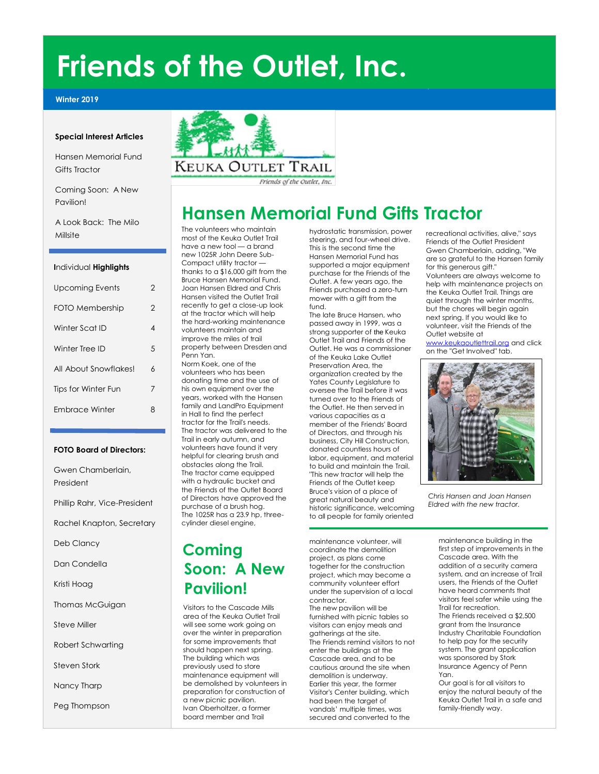# **Friends of the Outlet, Inc.**

## **Winter 2019**

## **Special Interest Articles**

Hansen Memorial Fund Gifts Tractor

Coming Soon: A New Pavilion!

A Look Back: The Milo **Millsite** 

## **I**ndividual **Highlights**

| Upcoming Events       | 2 |
|-----------------------|---|
| FOTO Membership       | 2 |
| Winter Scat ID        | 4 |
| Winter Tree ID        | 5 |
| All About Snowflakes! | 6 |
| Tips for Winter Fun   | 7 |
| Embrace Winter        | 8 |
|                       |   |

## **FOTO Board of Directors:**

Gwen Chamberlain, President

Phillip Rahr, Vice-President

Rachel Knapton, Secretary

Deb Clancy

Dan Condella

Kristi Hoag

Thomas McGuigan

Steve Miller

Robert Schwarting

Steven Stork

Nancy Tharp

Peg Thompson



Friends of the Outlet, Inc.

## **Hansen Memorial Fund Gifts Tractor**

The volunteers who maintain most of the Keuka Outlet Trail have a new tool — a brand new 1025R John Deere Sub-Compact utility tractor thanks to a \$16,000 gift from the Bruce Hansen Memorial Fund. Joan Hansen Eldred and Chris Hansen visited the Outlet Trail recently to get a close-up look at the tractor which will help the hard-working maintenance volunteers maintain and improve the miles of trail property between Dresden and Penn Yan.

Norm Koek, one of the volunteers who has been donating time and the use of his own equipment over the years, worked with the Hansen family and LandPro Equipment in Hall to find the perfect tractor for the Trail's needs. The tractor was delivered to the Trail in early autumn, and volunteers have found it very helpful for clearing brush and obstacles along the Trail. The tractor came equipped with a hydraulic bucket and the Friends of the Outlet Board of Directors have approved the purchase of a brush hog. The 1025R has a 23.9 hp, threecylinder diesel engine,

## **Coming Soon: A New Pavilion!**

Visitors to the Cascade Mills area of the Keuka Outlet Trail will see some work going on over the winter in preparation for some improvements that should happen next spring. The building which was previously used to store maintenance equipment will be demolished by volunteers in preparation for construction of a new picnic pavilion. Ivan Oberholtzer, a former board member and Trail

hydrostatic transmission, power steering, and four-wheel drive. This is the second time the Hansen Memorial Fund has supported a major equipment purchase for the Friends of the Outlet. A few years ago, the Friends purchased a zero-turn mower with a gift from the fund.

The late Bruce Hansen, who passed away in 1999, was a strong supporter of the Keuka Outlet Trail and Friends of the Outlet. He was a commissioner of the Keuka Lake Outlet Preservation Area, the organization created by the Yates County Legislature to oversee the Trail before it was turned over to the Friends of the Outlet. He then served in various capacities as a member of the Friends' Board of Directors, and through his business, City Hill Construction, donated countless hours of labor, equipment, and material to build and maintain the Trail. "This new tractor will help the Friends of the Outlet keep Bruce's vision of a place of great natural beauty and historic significance, welcoming to all people for family oriented

recreational activities, alive," says Friends of the Outlet President Gwen Chamberlain, adding, "We are so grateful to the Hansen family for this generous gift."

Volunteers are always welcome to help with maintenance projects on the Keuka Outlet Trail. Things are quiet through the winter months, but the chores will begin again next spring. If you would like to volunteer, visit the Friends of the Outlet website at [www.keukaoutlettrail.org](http://www.keukaoutlettrail.org/) and click

on the "Get Involved" tab.



*Chris Hansen and Joan Hansen Eldred with the new tractor.* 

maintenance volunteer, will coordinate the demolition project, as plans come together for the construction project, which may become a community volunteer effort under the supervision of a local contractor.

The new pavilion will be furnished with picnic tables so visitors can enjoy meals and gatherings at the site. The Friends remind visitors to not enter the buildings at the Cascade area, and to be cautious around the site when demolition is underway. Earlier this year, the former Visitor's Center building, which had been the target of vandals' multiple times, was secured and converted to the

maintenance building in the first step of improvements in the Cascade area. With the addition of a security camera system, and an increase of Trail users, the Friends of the Outlet have heard comments that visitors feel safer while using the Trail for recreation. The Friends received a \$2,500 grant from the Insurance Industry Charitable Foundation to help pay for the security system. The grant application was sponsored by Stork Insurance Agency of Penn Yan.

Our goal is for all visitors to enjoy the natural beauty of the Keuka Outlet Trail in a safe and family-friendly way.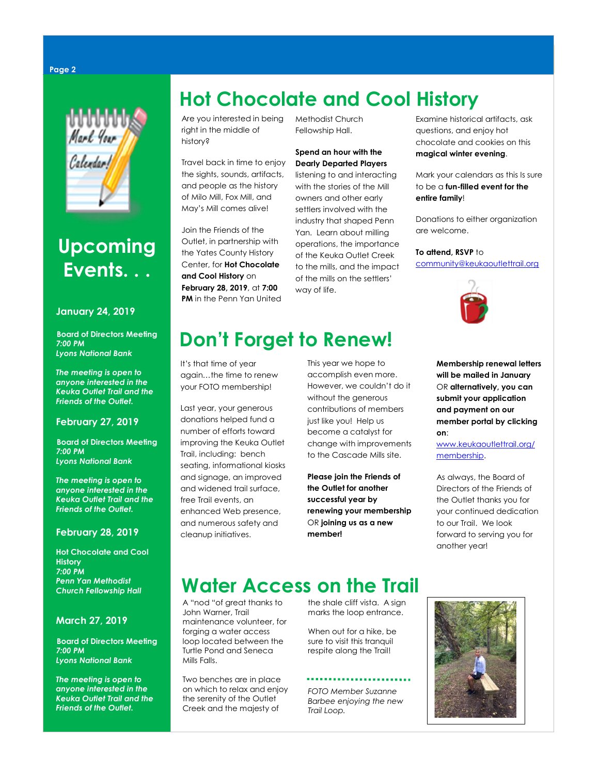# Calendary

# **Upcoming Events. . .**

## **January 24, 2019**

**Board of Directors Meeting** *7:00 PM Lyons National Bank*

*The meeting is open to anyone interested in the Keuka Outlet Trail and the Friends of the Outlet.*

## **February 27, 2019**

**Board of Directors Meeting** *7:00 PM Lyons National Bank*

*The meeting is open to anyone interested in the Keuka Outlet Trail and the Friends of the Outlet.*

## **February 28, 2019**

**Hot Chocolate and Cool History** *7:00 PM Penn Yan Methodist Church Fellowship Hall*

## **March 27, 2019**

**Board of Directors Meeting** *7:00 PM Lyons National Bank*

*The meeting is open to anyone interested in the Keuka Outlet Trail and the Friends of the Outlet.*

## **Hot Chocolate and Cool History**

Are you interested in being right in the middle of history?

Travel back in time to enjoy the sights, sounds, artifacts, and people as the history of Milo Mill, Fox Mill, and May's Mill comes alive!

Join the Friends of the Outlet, in partnership with the Yates County History Center, for **Hot Chocolate and Cool History** on **February 28, 2019**, at **7:00 PM** in the Penn Yan United Methodist Church Fellowship Hall.

## **Spend an hour with the Dearly Departed Players**

listening to and interacting with the stories of the Mill owners and other early settlers involved with the industry that shaped Penn Yan. Learn about milling operations, the importance of the Keuka Outlet Creek to the mills, and the impact of the mills on the settlers' way of life.

## **Don't Forget to Renew!**

It's that time of year again…the time to renew your FOTO membership!

Last year, your generous donations helped fund a number of efforts toward improving the Keuka Outlet Trail, including: bench seating, informational kiosks and signage, an improved and widened trail surface, free Trail events, an enhanced Web presence, and numerous safety and cleanup initiatives.

This year we hope to accomplish even more. However, we couldn't do it without the generous contributions of members just like you! Help us become a catalyst for change with improvements to the Cascade Mills site.

**Please join the Friends of the Outlet for another successful year by renewing your membership** OR **joining us as a new member!**

**Membership renewal letters will be mailed in January** OR **alternatively, you can submit your application and payment on our member portal by clicking on**:

Examine historical artifacts, ask questions, and enjoy hot chocolate and cookies on this **magical winter evening**.

Mark your calendars as this Is sure to be a **fun-filled event for the** 

Donations to either organization

[community@keukaoutlettrail.org](mailto:community@keukaoutlettrail.org) 

**entire family**!

are welcome.

**To attend, RSVP** to

[www.keukaoutlettrail.org/](http://www.keukaoutlettrail.org/membership) [membership.](http://www.keukaoutlettrail.org/membership)

As always, the Board of Directors of the Friends of the Outlet thanks you for your continued dedication to our Trail. We look forward to serving you for another year!

## **Water Access on the Trail**

A "nod "of great thanks to John Warner, Trail maintenance volunteer, for forging a water access loop located between the Turtle Pond and Seneca Mills Falls.

Two benches are in place on which to relax and enjoy the serenity of the Outlet Creek and the majesty of

the shale cliff vista. A sign marks the loop entrance.

When out for a hike, be sure to visit this tranquil respite along the Trail!

*FOTO Member Suzanne Barbee enjoying the new Trail Loop.*

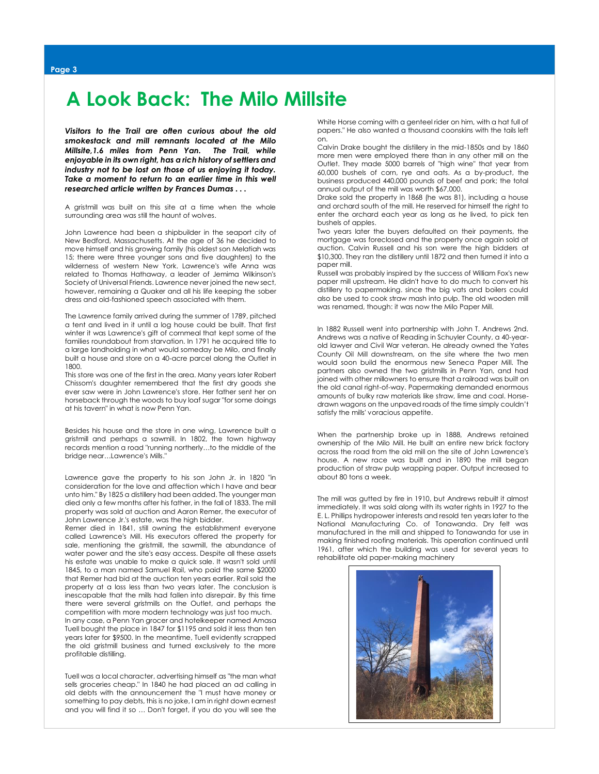## **A Look Back: The Milo Millsite**

*Visitors to the Trail are often curious about the old smokestack and mill remnants located at the Milo Millsite,1.6 miles from Penn Yan. The Trail, while enjoyable in its own right, has a rich history of settlers and industry not to be lost on those of us enjoying it today.*  Take a moment to return to an earlier time in this well *researched article written by Frances Dumas . . .* 

A gristmill was built on this site at a time when the whole surrounding area was still the haunt of wolves.

John Lawrence had been a shipbuilder in the seaport city of New Bedford, Massachusetts. At the age of 36 he decided to move himself and his growing family (his oldest son Melatiah was 15; there were three younger sons and five daughters) to the wilderness of western New York. Lawrence's wife Anna was related to Thomas Hathaway, a leader of Jemima Wilkinson's Society of Universal Friends. Lawrence never joined the new sect, however, remaining a Quaker and all his life keeping the sober dress and old-fashioned speech associated with them.

The Lawrence family arrived during the summer of 1789, pitched a tent and lived in it until a log house could be built. That first winter it was Lawrence's gift of cornmeal that kept some of the families roundabout from starvation. In 1791 he acquired title to a large landholding in what would someday be Milo, and finally built a house and store on a 40-acre parcel along the Outlet in 1800.

This store was one of the first in the area. Many years later Robert Chissom's daughter remembered that the first dry goods she ever saw were in John Lawrence's store. Her father sent her on horseback through the woods to buy loaf sugar "for some doings at his tavern" in what is now Penn Yan.

Besides his house and the store in one wing, Lawrence built a gristmill and perhaps a sawmill. In 1802, the town highway records mention a road "running northerly…to the middle of the bridge near…Lawrence's Mills."

Lawrence gave the property to his son John Jr. in 1820 "in consideration for the love and affection which I have and bear unto him." By 1825 a distillery had been added. The younger man died only a few months after his father, in the fall of 1833. The mill property was sold at auction and Aaron Remer, the executor of John Lawrence Jr.'s estate, was the high bidder.

Remer died in 1841, still owning the establishment everyone called Lawrence's Mill. His executors offered the property for sale, mentioning the gristmill, the sawmill, the abundance of water power and the site's easy access. Despite all these assets his estate was unable to make a quick sale. It wasn't sold until 1845, to a man named Samuel Rail, who paid the same \$2000 that Remer had bid at the auction ten years earlier. Rail sold the property at a loss less than two years later. The conclusion is inescapable that the mills had fallen into disrepair. By this time there were several gristmills on the Outlet, and perhaps the competition with more modern technology was just too much. In any case, a Penn Yan grocer and hotelkeeper named Amasa Tuell bought the place in 1847 for \$1195 and sold it less than ten years later for \$9500. In the meantime, Tuell evidently scrapped the old gristmill business and turned exclusively to the more profitable distilling.

Tuell was a local character, advertising himself as "the man what sells groceries cheap." In 1840 he had placed an ad calling in old debts with the announcement the "I must have money or something to pay debts, this is no joke, I am in right down earnest and you will find it so … Don't forget, if you do you will see the White Horse coming with a genteel rider on him, with a hat full of papers." He also wanted a thousand coonskins with the tails left on.

Calvin Drake bought the distillery in the mid-1850s and by 1860 more men were employed there than in any other mill on the Outlet. They made 5000 barrels of "high wine" that year from 60,000 bushels of corn, rye and oats. As a by-product, the business produced 440,000 pounds of beef and pork; the total annual output of the mill was worth \$67,000.

Drake sold the property in 1868 (he was 81), including a house and orchard south of the mill. He reserved for himself the right to enter the orchard each year as long as he lived, to pick ten bushels of apples.

Two years later the buyers defaulted on their payments, the mortgage was foreclosed and the property once again sold at auction. Calvin Russell and his son were the high bidders at \$10,300. They ran the distillery until 1872 and then turned it into a paper mill.

Russell was probably inspired by the success of William Fox's new paper mill upstream. He didn't have to do much to convert his distillery to papermaking. since the big vats and boilers could also be used to cook straw mash into pulp. The old wooden mill was renamed, though: it was now the Milo Paper Mill.

In 1882 Russell went into partnership with John T. Andrews 2nd. Andrews was a native of Reading in Schuyler County, a 40-yearold lawyer and Civil War veteran. He already owned the Yates County Oil Mill downstream, on the site where the two men would soon build the enormous new Seneca Paper Mill. The partners also owned the two gristmills in Penn Yan, and had joined with other millowners to ensure that a railroad was built on the old canal right-of-way. Papermaking demanded enormous amounts of bulky raw materials like straw, lime and coal. Horsedrawn wagons on the unpaved roads of the time simply couldn't satisfy the mills' voracious appetite.

When the partnership broke up in 1888, Andrews retained ownership of the Milo Mill. He built an entire new brick factory across the road from the old mill on the site of John Lawrence's house. A new race was built and in 1890 the mill began production of straw pulp wrapping paper. Output increased to about 80 tons a week.

The mill was gutted by fire in 1910, but Andrews rebuilt it almost immediately. It was sold along with its water rights in 1927 to the E. L. Phillips hydropower interests and resold ten years later to the National Manufacturing Co. of Tonawanda. Dry felt was manufactured in the mill and shipped to Tonawanda for use in making finished roofing materials. This operation continued until 1961, after which the building was used for several years to rehabilitate old paper-making machinery

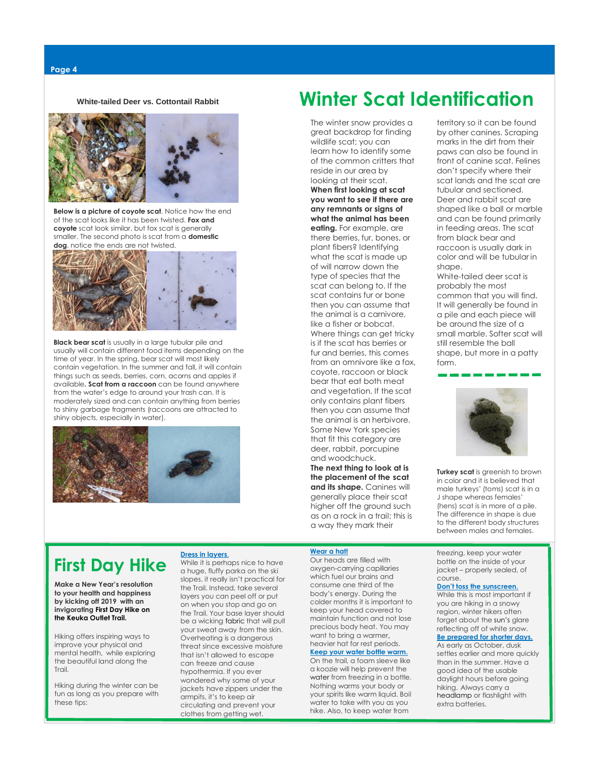#### **Page 4**

## **White-tailed Deer vs. Cottontail Rabbit**



**Below is a picture of coyote scat**. Notice how the end of the scat looks like it has been twisted. **Fox and coyote** scat look similar, but fox scat is generally smaller. The second photo is scat from a **domestic dog**, notice the ends are not twisted.



**Black bear scat** is usually in a large tubular pile and usually will contain different food items depending on the time of year. In the spring, bear scat will most likely contain vegetation. In the summer and fall, it will contain things such as seeds, berries, corn, acorns and apples if available**. Scat from a raccoon** can be found anywhere from the water's edge to around your trash can. It is moderately sized and can contain anything from berries to shiny garbage fragments (raccoons are attracted to shiny objects, especially in water).



## **Winter Scat Identification**

The winter snow provides a great backdrop for finding wildlife scat; you can learn how to identify some of the common critters that reside in our area by looking at their scat. **When first looking at scat you want to see if there are any remnants or signs of what the animal has been eating.** For example, are there berries, fur, bones, or plant fibers? Identifying what the scat is made up of will narrow down the type of species that the scat can belong to. If the scat contains fur or bone then you can assume that the animal is a carnivore, like a fisher or bobcat. Where things can get tricky is if the scat has berries or fur and berries, this comes from an omnivore like a fox, coyote, raccoon or black bear that eat both meat and vegetation. If the scat only contains plant fibers then you can assume that the animal is an herbivore. Some New York species that fit this category are deer, rabbit, porcupine and woodchuck. **The next thing to look at is the placement of the scat and its shape.** Canines will generally place their scat higher off the ground such as on a rock in a trail; this is

territory so it can be found by other canines. Scraping marks in the dirt from their paws can also be found in front of canine scat. Felines don't specify where their scat lands and the scat are tubular and sectioned. Deer and rabbit scat are shaped like a ball or marble and can be found primarily in feeding areas. The scat from black bear and raccoon is usually dark in color and will be tubular in shape

White-tailed deer scat is probably the most common that you will find. It will generally be found in a pile and each piece will be around the size of a small marble. Softer scat will still resemble the ball shape, but more in a patty form.



**Turkey scat** is greenish to brown in color and it is believed that male turkeys' (toms) scat is in a J shape whereas females' (hens) scat is in more of a pile. The difference in shape is due to the different body structures between males and females.

freezing, keep your water bottle on the inside of your jacket – properly sealed, of course.

## **Don't toss the sunscreen.**

While this is most important if you are hiking in a snowy region, winter hikers often forget about the [sun's](https://americanhiking.org/sun-safety/) glare reflecting off of white snow. **Be prepared for shorter days.**

As early as October, dusk settles earlier and more quickly than in the summer. Have a good idea of the usable daylight hours before going hiking. Always carry a [headlamp](https://americanhiking.org/resources/flashlights/) or flashlight with extra batteries.

## **First Day Hike**

**Make a New Year's resolution to your health and happiness by kicking off 2019 with an invigoratin[g First Day Hike](http://www.stateparks.org/initiatives-special-programs/first-day-hikes/) on the Keuka Outlet Trail.**

Hiking offers inspiring ways to improve your physical and mental health, while exploring the beautiful land along the Trail.

Hiking during the winter can be fun as long as you prepare with these tips:

## **Dress in layers**.

While it is perhaps nice to have a huge, fluffy parka on the ski slopes, it really isn't practical for the Trail. Instead, take several layers you can peel off or put on when you stop and go on the Trail. Your base layer should be a wickin[g fabric](https://americanhiking.org/resources/clothing/) that will pull your sweat away from the skin. Overheating is a dangerous threat since excessive moisture that isn't allowed to escape can freeze and cause hypothermia. If you ever wondered why some of your jackets have zippers under the armpits, it's to keep air circulating and prevent your clothes from getting wet.

#### **Wear a hat!**

Our heads are filled with oxygen-carrying capillaries which fuel our brains and consume one third of the body's energy. During the colder months it is important to keep your head covered to maintain function and not lose precious body heat. You may want to bring a warmer, heavier hat for rest periods.

a way they mark their

#### **Keep your water bottle warm.**

On the trail, a foam sleeve like a koozie will help prevent the [water](https://americanhiking.org/water-purification/) from freezing in a bottle. Nothing warms your body or your spirits like warm liquid. Boil water to take with you as you hike. Also, to keep water from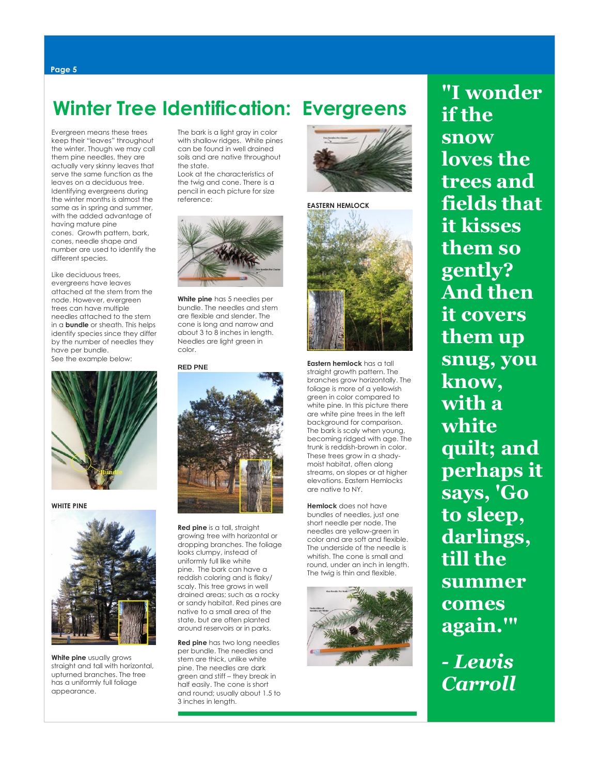# **Winter Tree Identification: Evergreens**

Evergreen means these trees keep their "leaves" throughout the winter. Though we may call them pine needles, they are actually very skinny leaves that serve the same function as the leaves on a deciduous tree. Identifying evergreens during the winter months is almost the same as in spring and summer, with the added advantage of having mature pine cones. Growth pattern, bark, cones, needle shape and number are used to identify the different species.

Like deciduous trees, evergreens have leaves attached at the stem from the node. However, evergreen trees can have multiple needles attached to the stem in a **bundle** or sheath. This helps identify species since they differ by the number of needles they have per bundle.

See the example below:



**WHITE PINE**



**White pine** usually grows straight and tall with horizontal, upturned branches. The tree has a uniformly full foliage appearance.

The bark is a light gray in color with shallow ridges. White pines can be found in well drained soils and are native throughout the state. Look at the characteristics of

the twig and cone. There is a pencil in each picture for size reference:



**White pine** has 5 needles per bundle. The needles and stem are flexible and slender. The cone is long and narrow and about 3 to 8 inches in length. Needles are light green in color.

**RED PNE**



**Red pine** is a tall, straight growing tree with horizontal or dropping branches. The foliage looks clumpy, instead of uniformly full like white pine. The bark can have a reddish coloring and is flaky/ scaly. This tree grows in well drained areas; such as a rocky or sandy habitat. Red pines are native to a small area of the state, but are often planted around reservoirs or in parks.

**Red pine** has two long needles per bundle. The needles and stem are thick, unlike white pine. The needles are dark .<br>green and stiff – they break in half easily. The cone is short and round; usually about 1.5 to 3 inches in length.



**EASTERN HEMLOCK**

 **5**



**Eastern hemlock** has a tall straight growth pattern. The branches grow horizontally. The foliage is more of a yellowish green in color compared to white pine. In this picture there are white pine trees in the left background for comparison. The bark is scaly when young, becoming ridged with age. The trunk is reddish-brown in color. These trees grow in a shadymoist habitat, often along streams, on slopes or at higher elevations. Eastern Hemlocks are native to NY.

**Hemlock** does not have bundles of needles, just one short needle per node. The needles are yellow-green in color and are soft and flexible. The underside of the needle is whitish. The cone is small and round, under an inch in length. The twig is thin and flexible.



**"I wonder if the snow loves the trees and fields that it kisses them so gently? And then it covers them up snug, you know, with a white quilt; and perhaps it says, 'Go to sleep, darlings, till the summer comes again.'"**

*- Lewis Carroll*

#### **Page 5**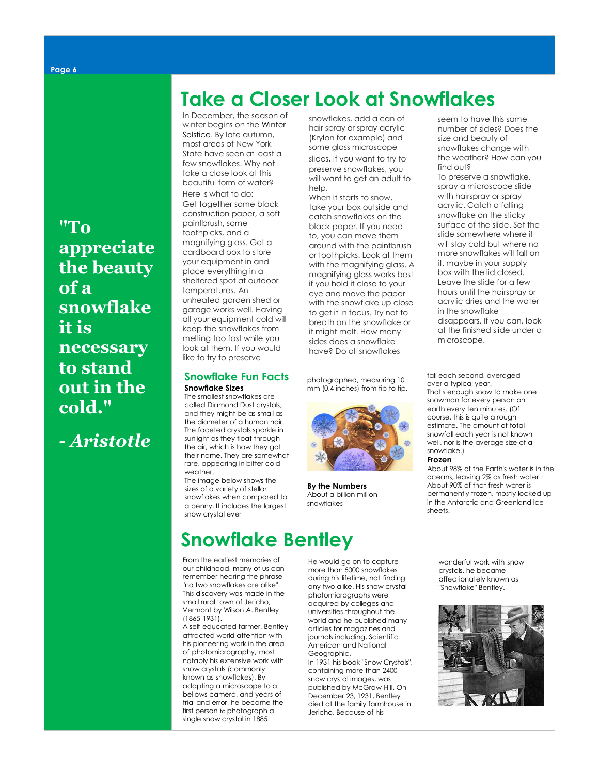**6 TYPE TITLE HERE**

**"To appreciate the beauty of a snowflake it is necessary to stand out in the cold."**

*- Aristotle*

## **Take a Closer Look at Snowflakes**

In December, the season of winter begins on the Winter [Solstice.](http://www.windows.ucar.edu/tour/link=/the_universe/uts/winter.html&edu=elem) By late autumn, most areas of New York State have seen at least a few snowflakes. Why not take a close look at this beautiful form of water? Here is what to do: Get together some black construction paper, a soft paintbrush, some toothpicks, and a magnifying glass. Get a cardboard box to store your equipment in and place everything in a sheltered spot at outdoor temperatures. An unheated garden shed or garage works well. Having all your equipment cold will keep the snowflakes from melting too fast while you look at them. If you would like to try to preserve

## **Snowflake Fun Facts Snowflake Sizes**

The smallest snowflakes are calle[d Diamond Dust crystals,](http://www.snowcrystals.com/guide/guide.html)  and they might be as small as the diameter of a human hair. The faceted crystals sparkle in sunlight as they float through the air, which is how they got their name. They are somewhat rare, appearing in bitter cold weather.

The image below shows the sizes of a variety of stellar snowflakes when compared to a penny. It includes the [largest](http://www.snowcrystals.com/monster/monster.html)  [snow crystal](http://www.snowcrystals.com/monster/monster.html) ever

## **Snowflake Bentley**

From the earliest memories of our childhood, many of us can remember hearing the phrase "no two snowflakes are alike". This discovery was made in the small rural town of Jericho, Vermont by Wilson A. Bentley (1865-1931).

A self-educated farmer, Bentley attracted world attention with his pioneering work in the area of photomicrography, most notably his extensive work with snow crystals (commonly known as snowflakes). By adapting a microscope to a bellows camera, and years of trial and error, he became the first person to photograph a single snow crystal in 1885.

snowflakes, add a can of hair spray or spray acrylic (Krylon for example) and some glass microscope slides. If you want to try to preserve snowflakes, you will want to get an adult to help.

When it starts to snow, take your box outside and catch snowflakes on the black paper. If you need to, you can move them around with the paintbrush or toothpicks. Look at them with the magnifying glass. A magnifying glass works best if you hold it close to your eye and move the paper with the snowflake up close to get it in focus. Try not to breath on the snowflake or it might melt. How many sides does a snowflake have? Do all snowflakes

photographed, measuring 10 mm (0.4 inches) from tip to tip.



**By the Numbers** About a billion million snowflakes

photomicrographs were He would go on to capture more than 5000 snowflakes during his lifetime, not finding any two alike. His snow crystal acquired by colleges and universities throughout the world and he published many articles for magazines and journals including, Scientific American and National Geographic In 1931 his book "Snow Crystals", containing more than 2400 snow crystal images, was published by McGraw-Hill. On December 23, 1931, Bentley died at the family farmhouse in Jericho. Because of his

seem to have this same number of sides? Does the size and beauty of snowflakes change with the weather? How can you find out? To preserve a snowflake, spray a microscope slide with hairspray or spray acrylic. Catch a falling snowflake on the sticky surface of the slide. Set the slide somewhere where it will stay cold but where no more snowflakes will fall on it, maybe in your supply box with the lid closed. Leave the slide for a few hours until the hairspray or

in the snowflake disappears. If you can, look at the finished slide under a microscope.

acrylic dries and the water

fall each second, averaged over a typical year. That's enough snow to make one snowman for every person on earth every ten minutes. (Of course, this is quite a rough estimate. The amount of total snowfall each year is not known well, nor is the average size of a snowflake.)

#### **Frozen**

About 98% of the Earth's water is in the oceans, leaving 2% as fresh water. About 90% of that fresh water is permanently frozen, mostly locked up in the Antarctic and Greenland ice sheets.

> wonderful work with snow crystals, he became affectionately known as "Snowflake" Bentley.

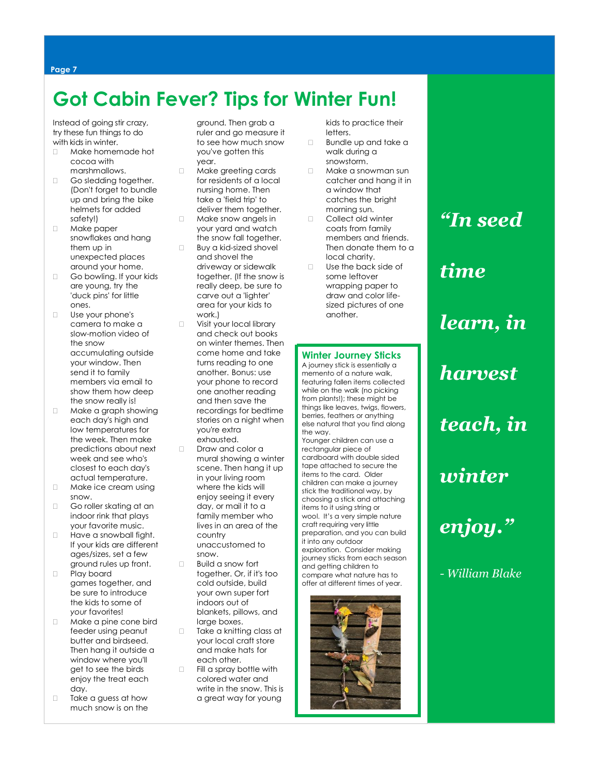#### **Page 7**

## **Got Cabin Fever? Tips for Winter Fun!**

Instead of going stir crazy, try these fun things to do with kids in winter.

- □ Make homemade hot cocoa with marshmallows.
- Go sledding together. (Don't forget to bundle up and bring the bike helmets for added safety!)
- □ Make paper snowflakes and hang them up in unexpected places around your home.
- Go bowling. If your kids are young, try the 'duck pins' for little ones.
- Use your phone's camera to make a slow-motion video of the snow accumulating outside your window. Then send it to family members via email to show them how deep the snow really is!
- □ Make a araph showing each day's high and low temperatures for the week. Then make predictions about next week and see who's closest to each day's actual temperature.
- **II** Make ice cream using snow.
- Go roller skating at an indoor rink that plays your favorite music.
- **Have a snowball fight.** If your kids are different ages/sizes, set a few ground rules up front.
- D Play board [games](https://www.thespruce.com/best-family-board-games-4151145) together, and be sure to introduce the kids to some of *your* favorites!
- **Make a pine cone bird** feeder using peanut butter and birdseed. Then hang it outside a window where you'll get to see the birds enjoy the treat each day.
- Take a guess at how much snow is on the

ground. Then grab a ruler and go measure it to see how much snow you've gotten this year.

 **7**

- **I** Make greeting cards for residents of a local nursing home. Then take a 'field trip' to deliver them together.
- **Make snow angels in** your yard and watch the snow fall together. **Buy a kid-sized shovel**
- and shovel the driveway or sidewalk together. (If the snow is really deep, be sure to carve out a 'lighter' area for your kids to work.)
- Visit your local library and check out books on winter themes. Then come home and take turns reading to one another. Bonus: use your phone to record one another reading and then save the recordings for bedtime stories on a night when you're extra exhausted.
- Draw and color a mural showing a winter scene. Then hang it up in your living room where the kids will enjoy seeing it every day, or mail it to a family member who lives in an area of the country unaccustomed to snow.
- $\Box$  Build a snow fort together. Or, if it's too cold outside, build your own super fort indoors out of blankets, pillows, and large boxes.
- D Take a knitting class at your local craft store and make hats for each other.
- **Fill a spray bottle with** colored water and write in the snow. This is a great way for young

kids to practice their letters.

- Bundle up and take a walk during a snowstorm.
- Make a snowman sun catcher and hang it in a window that catches the bright morning sun.
- D Collect old winter coats from family members and friends. Then donate them to a local charity.
- Use the back side of some leftover wrapping paper to draw and color lifesized pictures of one another.

## **Winter Journey Sticks**

A journey stick is essentially a memento of a nature walk, featuring fallen items collected while on the walk (no picking from plants!); these might be things like leaves, twigs, flowers, berries, feathers or anything else natural that you find along the way.

Younger children can use a rectangular piece of cardboard with double sided tape attached to secure the items to the card. Older children can make a journey stick the traditional way, by choosing a stick and attaching items to it using string or wool. It's a very simple nature craft requiring very little preparation, and you can build it into any outdoor exploration. Consider making journey sticks from each season and getting children to compare what nature has to offer at different times of year.



# *"In seed*

*time* 

*learn, in* 

*harvest* 

*teach, in* 

*winter* 

*enjoy."*

*- William Blake*